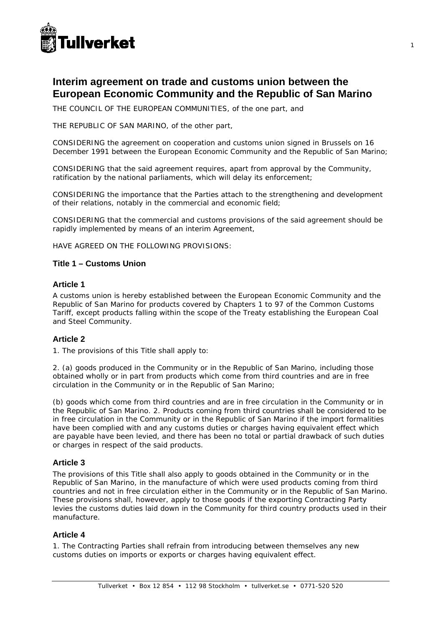

# **Interim agreement on trade and customs union between the European Economic Community and the Republic of San Marino**

THE COUNCIL OF THE EUROPEAN COMMUNITIES, of the one part, and

THE REPUBLIC OF SAN MARINO, of the other part,

CONSIDERING the agreement on cooperation and customs union signed in Brussels on 16 December 1991 between the European Economic Community and the Republic of San Marino;

CONSIDERING that the said agreement requires, apart from approval by the Community, ratification by the national parliaments, which will delay its enforcement;

CONSIDERING the importance that the Parties attach to the strengthening and development of their relations, notably in the commercial and economic field;

CONSIDERING that the commercial and customs provisions of the said agreement should be rapidly implemented by means of an interim Agreement,

HAVE AGREED ON THE FOLLOWING PROVISIONS:

## **Title 1 – Customs Union**

## **Article 1**

A customs union is hereby established between the European Economic Community and the Republic of San Marino for products covered by Chapters 1 to 97 of the Common Customs Tariff, except products falling within the scope of the Treaty establishing the European Coal and Steel Community.

# **Article 2**

1. The provisions of this Title shall apply to:

2. (a) goods produced in the Community or in the Republic of San Marino, including those obtained wholly or in part from products which come from third countries and are in free circulation in the Community or in the Republic of San Marino;

(b) goods which come from third countries and are in free circulation in the Community or in the Republic of San Marino. 2. Products coming from third countries shall be considered to be in free circulation in the Community or in the Republic of San Marino if the import formalities have been complied with and any customs duties or charges having equivalent effect which are payable have been levied, and there has been no total or partial drawback of such duties or charges in respect of the said products.

# **Article 3**

The provisions of this Title shall also apply to goods obtained in the Community or in the Republic of San Marino, in the manufacture of which were used products coming from third countries and not in free circulation either in the Community or in the Republic of San Marino. These provisions shall, however, apply to those goods if the exporting Contracting Party levies the customs duties laid down in the Community for third country products used in their manufacture.

## **Article 4**

1. The Contracting Parties shall refrain from introducing between themselves any new customs duties on imports or exports or charges having equivalent effect.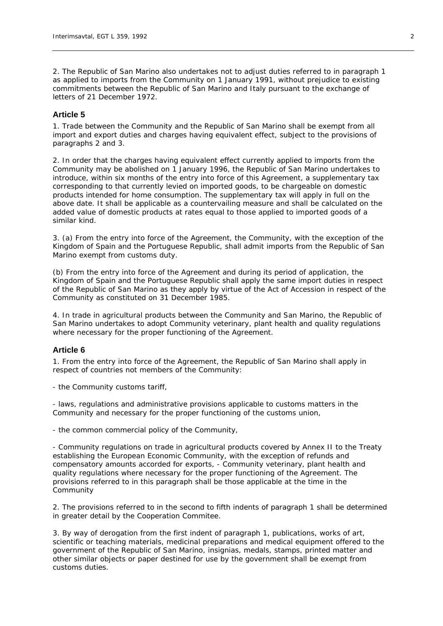2. The Republic of San Marino also undertakes not to adjust duties referred to in paragraph 1 as applied to imports from the Community on 1 January 1991, without prejudice to existing commitments between the Republic of San Marino and Italy pursuant to the exchange of letters of 21 December 1972.

#### **Article 5**

1. Trade between the Community and the Republic of San Marino shall be exempt from all import and export duties and charges having equivalent effect, subject to the provisions of paragraphs 2 and 3.

2. In order that the charges having equivalent effect currently applied to imports from the Community may be abolished on 1 January 1996, the Republic of San Marino undertakes to introduce, within six months of the entry into force of this Agreement, a supplementary tax corresponding to that currently levied on imported goods, to be chargeable on domestic products intended for home consumption. The supplementary tax will apply in full on the above date. It shall be applicable as a countervailing measure and shall be calculated on the added value of domestic products at rates equal to those applied to imported goods of a similar kind.

3. (a) From the entry into force of the Agreement, the Community, with the exception of the Kingdom of Spain and the Portuguese Republic, shall admit imports from the Republic of San Marino exempt from customs duty.

(b) From the entry into force of the Agreement and during its period of application, the Kingdom of Spain and the Portuguese Republic shall apply the same import duties in respect of the Republic of San Marino as they apply by virtue of the Act of Accession in respect of the Community as constituted on 31 December 1985.

4. In trade in agricultural products between the Community and San Marino, the Republic of San Marino undertakes to adopt Community veterinary, plant health and quality regulations where necessary for the proper functioning of the Agreement.

#### **Article 6**

1. From the entry into force of the Agreement, the Republic of San Marino shall apply in respect of countries not members of the Community:

- the Community customs tariff,

- laws, regulations and administrative provisions applicable to customs matters in the Community and necessary for the proper functioning of the customs union,

- the common commercial policy of the Community,

- Community regulations on trade in agricultural products covered by Annex II to the Treaty establishing the European Economic Community, with the exception of refunds and compensatory amounts accorded for exports, - Community veterinary, plant health and quality regulations where necessary for the proper functioning of the Agreement. The provisions referred to in this paragraph shall be those applicable at the time in the Community

2. The provisions referred to in the second to fifth indents of paragraph 1 shall be determined in greater detail by the Cooperation Commitee.

3. By way of derogation from the first indent of paragraph 1, publications, works of art, scientific or teaching materials, medicinal preparations and medical equipment offered to the government of the Republic of San Marino, insignias, medals, stamps, printed matter and other similar objects or paper destined for use by the government shall be exempt from customs duties.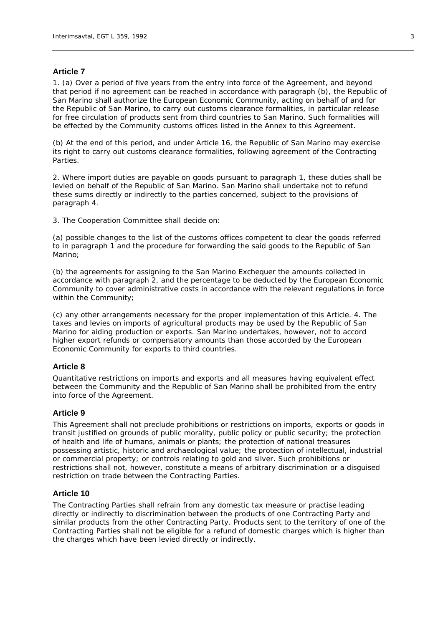## **Article 7**

1. (a) Over a period of five years from the entry into force of the Agreement, and beyond that period if no agreement can be reached in accordance with paragraph (b), the Republic of San Marino shall authorize the European Economic Community, acting on behalf of and for the Republic of San Marino, to carry out customs clearance formalities, in particular release for free circulation of products sent from third countries to San Marino. Such formalities will be effected by the Community customs offices listed in the Annex to this Agreement.

(b) At the end of this period, and under Article 16, the Republic of San Marino may exercise its right to carry out customs clearance formalities, following agreement of the Contracting Parties.

2. Where import duties are payable on goods pursuant to paragraph 1, these duties shall be levied on behalf of the Republic of San Marino. San Marino shall undertake not to refund these sums directly or indirectly to the parties concerned, subject to the provisions of paragraph 4.

3. The Cooperation Committee shall decide on:

(a) possible changes to the list of the customs offices competent to clear the goods referred to in paragraph 1 and the procedure for forwarding the said goods to the Republic of San Marino;

(b) the agreements for assigning to the San Marino Exchequer the amounts collected in accordance with paragraph 2, and the percentage to be deducted by the European Economic Community to cover administrative costs in accordance with the relevant regulations in force within the Community;

(c) any other arrangements necessary for the proper implementation of this Article. 4. The taxes and levies on imports of agricultural products may be used by the Republic of San Marino for aiding production or exports. San Marino undertakes, however, not to accord higher export refunds or compensatory amounts than those accorded by the European Economic Community for exports to third countries.

#### **Article 8**

Quantitative restrictions on imports and exports and all measures having equivalent effect between the Community and the Republic of San Marino shall be prohibited from the entry into force of the Agreement.

#### **Article 9**

This Agreement shall not preclude prohibitions or restrictions on imports, exports or goods in transit justified on grounds of public morality, public policy or public security; the protection of health and life of humans, animals or plants; the protection of national treasures possessing artistic, historic and archaeological value; the protection of intellectual, industrial or commercial property; or controls relating to gold and silver. Such prohibitions or restrictions shall not, however, constitute a means of arbitrary discrimination or a disguised restriction on trade between the Contracting Parties.

#### **Article 10**

The Contracting Parties shall refrain from any domestic tax measure or practise leading directly or indirectly to discrimination between the products of one Contracting Party and similar products from the other Contracting Party. Products sent to the territory of one of the Contracting Parties shall not be eligible for a refund of domestic charges which is higher than the charges which have been levied directly or indirectly.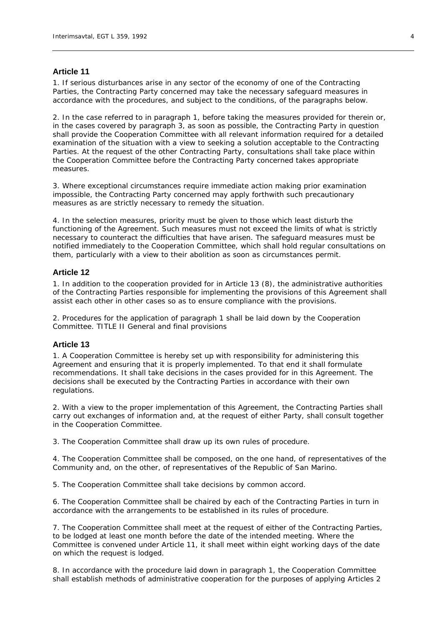## **Article 11**

1. If serious disturbances arise in any sector of the economy of one of the Contracting Parties, the Contracting Party concerned may take the necessary safeguard measures in accordance with the procedures, and subject to the conditions, of the paragraphs below.

2. In the case referred to in paragraph 1, before taking the measures provided for therein or, in the cases covered by paragraph 3, as soon as possible, the Contracting Party in question shall provide the Cooperation Committee with all relevant information required for a detailed examination of the situation with a view to seeking a solution acceptable to the Contracting Parties. At the request of the other Contracting Party, consultations shall take place within the Cooperation Committee before the Contracting Party concerned takes appropriate measures.

3. Where exceptional circumstances require immediate action making prior examination impossible, the Contracting Party concerned may apply forthwith such precautionary measures as are strictly necessary to remedy the situation.

4. In the selection measures, priority must be given to those which least disturb the functioning of the Agreement. Such measures must not exceed the limits of what is strictly necessary to counteract the difficulties that have arisen. The safeguard measures must be notified immediately to the Cooperation Committee, which shall hold regular consultations on them, particularly with a view to their abolition as soon as circumstances permit.

# **Article 12**

1. In addition to the cooperation provided for in Article 13 (8), the administrative authorities of the Contracting Parties responsible for implementing the provisions of this Agreement shall assist each other in other cases so as to ensure compliance with the provisions.

2. Procedures for the application of paragraph 1 shall be laid down by the Cooperation Committee. TITLE II General and final provisions

#### **Article 13**

1. A Cooperation Committee is hereby set up with responsibility for administering this Agreement and ensuring that it is properly implemented. To that end it shall formulate recommendations. It shall take decisions in the cases provided for in this Agreement. The decisions shall be executed by the Contracting Parties in accordance with their own regulations.

2. With a view to the proper implementation of this Agreement, the Contracting Parties shall carry out exchanges of information and, at the request of either Party, shall consult together in the Cooperation Committee.

3. The Cooperation Committee shall draw up its own rules of procedure.

4. The Cooperation Committee shall be composed, on the one hand, of representatives of the Community and, on the other, of representatives of the Republic of San Marino.

5. The Cooperation Committee shall take decisions by common accord.

6. The Cooperation Committee shall be chaired by each of the Contracting Parties in turn in accordance with the arrangements to be established in its rules of procedure.

7. The Cooperation Committee shall meet at the request of either of the Contracting Parties, to be lodged at least one month before the date of the intended meeting. Where the Committee is convened under Article 11, it shall meet within eight working days of the date on which the request is lodged.

8. In accordance with the procedure laid down in paragraph 1, the Cooperation Committee shall establish methods of administrative cooperation for the purposes of applying Articles 2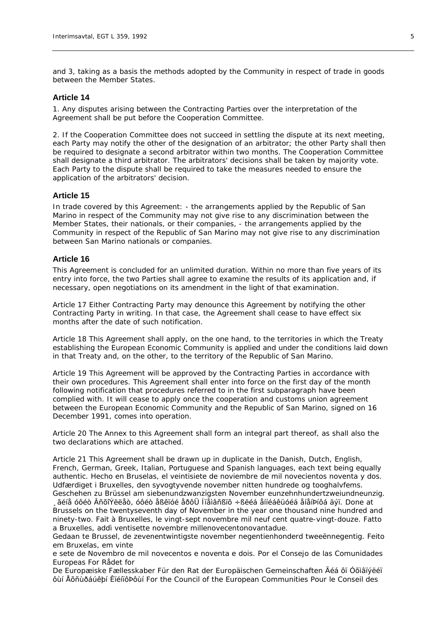and 3, taking as a basis the methods adopted by the Community in respect of trade in goods between the Member States.

## **Article 14**

1. Any disputes arising between the Contracting Parties over the interpretation of the Agreement shall be put before the Cooperation Committee.

2. If the Cooperation Committee does not succeed in settling the dispute at its next meeting, each Party may notify the other of the designation of an arbitrator; the other Party shall then be required to designate a second arbitrator within two months. The Cooperation Committee shall designate a third arbitrator. The arbitrators' decisions shall be taken by majority vote. Each Party to the dispute shall be required to take the measures needed to ensure the application of the arbitrators' decision.

#### **Article 15**

In trade covered by this Agreement: - the arrangements applied by the Republic of San Marino in respect of the Community may not give rise to any discrimination between the Member States, their nationals, or their companies, - the arrangements applied by the Community in respect of the Republic of San Marino may not give rise to any discrimination between San Marino nationals or companies.

## **Article 16**

This Agreement is concluded for an unlimited duration. Within no more than five years of its entry into force, the two Parties shall agree to examine the results of its application and, if necessary, open negotiations on its amendment in the light of that examination.

Article 17 Either Contracting Party may denounce this Agreement by notifying the other Contracting Party in writing. In that case, the Agreement shall cease to have effect six months after the date of such notification.

Article 18 This Agreement shall apply, on the one hand, to the territories in which the Treaty establishing the European Economic Community is applied and under the conditions laid down in that Treaty and, on the other, to the territory of the Republic of San Marino.

Article 19 This Agreement will be approved by the Contracting Parties in accordance with their own procedures. This Agreement shall enter into force on the first day of the month following notification that procedures referred to in the first subparagraph have been complied with. It will cease to apply once the cooperation and customs union agreement between the European Economic Community and the Republic of San Marino, signed on 16 December 1991, comes into operation.

Article 20 The Annex to this Agreement shall form an integral part thereof, as shall also the two declarations which are attached.

Article 21 This Agreement shall be drawn up in duplicate in the Danish, Dutch, English, French, German, Greek, Italian, Portuguese and Spanish languages, each text being equally authentic. Hecho en Bruselas, el veintisiete de noviembre de mil novecientos noventa y dos. Udfærdiget i Bruxelles, den syvogtyvende november nitten hundrede og tooghalvfems.

Geschehen zu Brüssel am siebenundzwanzigsten November eunzehnhundertzweiundneunzig. ¸ãéíå óôéò ÂñõîÝëëåò, óôéò åßêïóé åðôÜ Íïåìâñßïõ ÷ßëéá åííéáêüóéá åíåíÞíôá äýï. Done at Brussels on the twentyseventh day of November in the year one thousand nine hundred and ninety-two. Fait à Bruxelles, le vingt-sept novembre mil neuf cent quatre-vingt-douze. Fatto a Bruxelles, addì ventisette novembre millenovecentonovantadue.

Gedaan te Brussel, de zevenentwintigste november negentienhonderd tweeënnegentig. Feito em Bruxelas, em vinte

e sete de Novembro de mil novecentos e noventa e dois. Por el Consejo de las Comunidades Europeas For Rådet for

De Europæiske Fællesskaber Für den Rat der Europäischen Gemeinschaften Ãéá ôï Óõìâïýëéï ôùí Åõñùðáúêþí ÊïéíïôÞôùí For the Council of the European Communities Pour le Conseil des